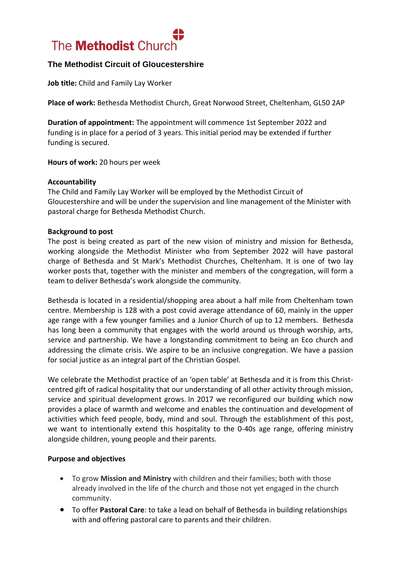

# **The Methodist Circuit of Gloucestershire**

**Job title:** Child and Family Lay Worker

**Place of work:** Bethesda Methodist Church, Great Norwood Street, Cheltenham, GL50 2AP

**Duration of appointment:** The appointment will commence 1st September 2022 and funding is in place for a period of 3 years. This initial period may be extended if further funding is secured.

**Hours of work:** 20 hours per week

### **Accountability**

The Child and Family Lay Worker will be employed by the Methodist Circuit of Gloucestershire and will be under the supervision and line management of the Minister with pastoral charge for Bethesda Methodist Church.

### **Background to post**

The post is being created as part of the new vision of ministry and mission for Bethesda, working alongside the Methodist Minister who from September 2022 will have pastoral charge of Bethesda and St Mark's Methodist Churches, Cheltenham. It is one of two lay worker posts that, together with the minister and members of the congregation, will form a team to deliver Bethesda's work alongside the community.

Bethesda is located in a residential/shopping area about a half mile from Cheltenham town centre. Membership is 128 with a post covid average attendance of 60, mainly in the upper age range with a few younger families and a Junior Church of up to 12 members. Bethesda has long been a community that engages with the world around us through worship, arts, service and partnership. We have a longstanding commitment to being an Eco church and addressing the climate crisis. We aspire to be an inclusive congregation. We have a passion for social justice as an integral part of the Christian Gospel.

We celebrate the Methodist practice of an 'open table' at Bethesda and it is from this Christcentred gift of radical hospitality that our understanding of all other activity through mission, service and spiritual development grows. In 2017 we reconfigured our building which now provides a place of warmth and welcome and enables the continuation and development of activities which feed people, body, mind and soul. Through the establishment of this post, we want to intentionally extend this hospitality to the 0-40s age range, offering ministry alongside children, young people and their parents.

### **Purpose and objectives**

- To grow **Mission and Ministry** with children and their families; both with those already involved in the life of the church and those not yet engaged in the church community.
- To offer **Pastoral Care**: to take a lead on behalf of Bethesda in building relationships with and offering pastoral care to parents and their children.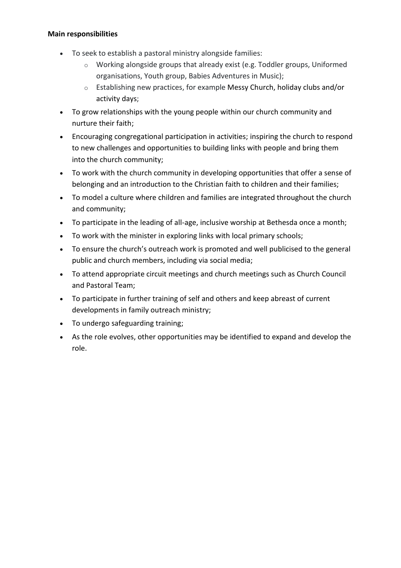## **Main responsibilities**

- To seek to establish a pastoral ministry alongside families:
	- $\circ$  Working alongside groups that already exist (e.g. Toddler groups, Uniformed organisations, Youth group, Babies Adventures in Music);
	- o Establishing new practices, for example Messy Church, holiday clubs and/or activity days;
- To grow relationships with the young people within our church community and nurture their faith;
- Encouraging congregational participation in activities; inspiring the church to respond to new challenges and opportunities to building links with people and bring them into the church community;
- To work with the church community in developing opportunities that offer a sense of belonging and an introduction to the Christian faith to children and their families;
- To model a culture where children and families are integrated throughout the church and community;
- To participate in the leading of all-age, inclusive worship at Bethesda once a month;
- To work with the minister in exploring links with local primary schools;
- To ensure the church's outreach work is promoted and well publicised to the general public and church members, including via social media;
- To attend appropriate circuit meetings and church meetings such as Church Council and Pastoral Team;
- To participate in further training of self and others and keep abreast of current developments in family outreach ministry;
- To undergo safeguarding training;
- As the role evolves, other opportunities may be identified to expand and develop the role.